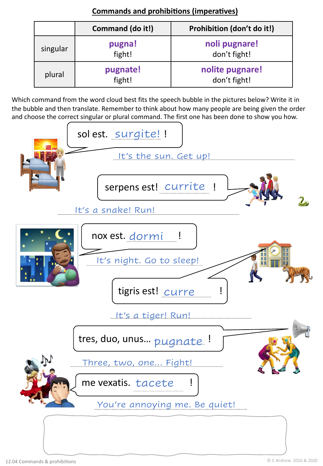|          | Command (do it!)   | Prohibition (don't do it!)      |
|----------|--------------------|---------------------------------|
| singular | pugna!<br>fight!   | noli pugnare!<br>don't fight!   |
| plural   | pugnate!<br>fight! | nolite pugnare!<br>don't fight! |

**Commands and prohibitions (imperatives)** 

Which command from the word cloud best fits the speech bubble in the pictures below? Write it in the bubble and then translate. Remember to think about how many people are being given the order and choose the correct singular or plural command. The first one has been done to show you how.